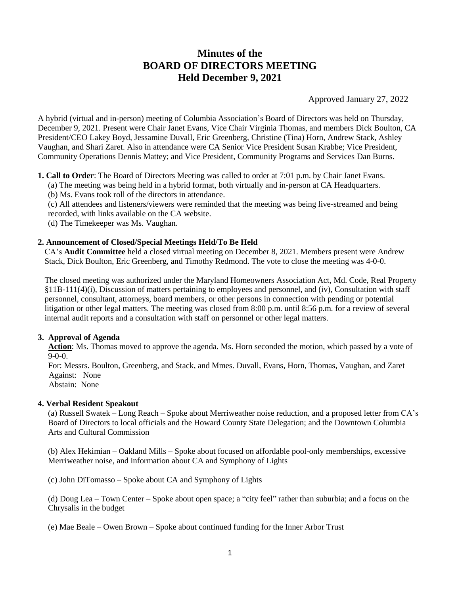# **Minutes of the BOARD OF DIRECTORS MEETING Held December 9, 2021**

Approved January 27, 2022

A hybrid (virtual and in-person) meeting of Columbia Association's Board of Directors was held on Thursday, December 9, 2021. Present were Chair Janet Evans, Vice Chair Virginia Thomas, and members Dick Boulton, CA President/CEO Lakey Boyd, Jessamine Duvall, Eric Greenberg, Christine (Tina) Horn, Andrew Stack, Ashley Vaughan, and Shari Zaret. Also in attendance were CA Senior Vice President Susan Krabbe; Vice President, Community Operations Dennis Mattey; and Vice President, Community Programs and Services Dan Burns.

**1. Call to Order**: The Board of Directors Meeting was called to order at 7:01 p.m. by Chair Janet Evans.

(a) The meeting was being held in a hybrid format, both virtually and in-person at CA Headquarters.

(b) Ms. Evans took roll of the directors in attendance.

(c) All attendees and listeners/viewers were reminded that the meeting was being live-streamed and being recorded, with links available on the CA website.

(d) The Timekeeper was Ms. Vaughan.

## **2. Announcement of Closed/Special Meetings Held/To Be Held**

CA's **Audit Committee** held a closed virtual meeting on December 8, 2021. Members present were Andrew Stack, Dick Boulton, Eric Greenberg, and Timothy Redmond. The vote to close the meeting was 4-0-0.

The closed meeting was authorized under the Maryland Homeowners Association Act, Md. Code, Real Property §11B-111(4)(i), Discussion of matters pertaining to employees and personnel, and (iv), Consultation with staff personnel, consultant, attorneys, board members, or other persons in connection with pending or potential litigation or other legal matters. The meeting was closed from 8:00 p.m. until 8:56 p.m. for a review of several internal audit reports and a consultation with staff on personnel or other legal matters.

## **3. Approval of Agenda**

 **Action**: Ms. Thomas moved to approve the agenda. Ms. Horn seconded the motion, which passed by a vote of 9-0-0.

 For: Messrs. Boulton, Greenberg, and Stack, and Mmes. Duvall, Evans, Horn, Thomas, Vaughan, and Zaret Against: None

Abstain: None

#### **4. Verbal Resident Speakout**

(a) Russell Swatek – Long Reach – Spoke about Merriweather noise reduction, and a proposed letter from CA's Board of Directors to local officials and the Howard County State Delegation; and the Downtown Columbia Arts and Cultural Commission

(b) Alex Hekimian – Oakland Mills – Spoke about focused on affordable pool-only memberships, excessive Merriweather noise, and information about CA and Symphony of Lights

(c) John DiTomasso – Spoke about CA and Symphony of Lights

(d) Doug Lea – Town Center – Spoke about open space; a "city feel" rather than suburbia; and a focus on the Chrysalis in the budget

(e) Mae Beale – Owen Brown – Spoke about continued funding for the Inner Arbor Trust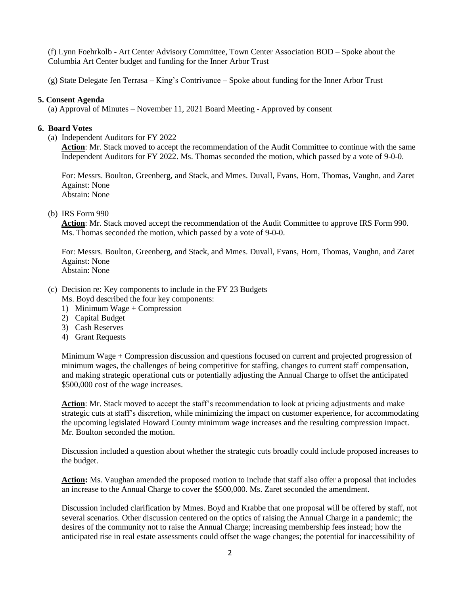(f) Lynn Foehrkolb - Art Center Advisory Committee, Town Center Association BOD – Spoke about the Columbia Art Center budget and funding for the Inner Arbor Trust

(g) State Delegate Jen Terrasa – King's Contrivance – Spoke about funding for the Inner Arbor Trust

## **5. Consent Agenda**

(a) Approval of Minutes – November 11, 2021 Board Meeting - Approved by consent

## **6. Board Votes**

(a) Independent Auditors for FY 2022

**Action**: Mr. Stack moved to accept the recommendation of the Audit Committee to continue with the same Independent Auditors for FY 2022. Ms. Thomas seconded the motion, which passed by a vote of 9-0-0.

For: Messrs. Boulton, Greenberg, and Stack, and Mmes. Duvall, Evans, Horn, Thomas, Vaughn, and Zaret Against: None Abstain: None

## (b) IRS Form 990

Action: Mr. Stack moved accept the recommendation of the Audit Committee to approve IRS Form 990. Ms. Thomas seconded the motion, which passed by a vote of 9-0-0.

For: Messrs. Boulton, Greenberg, and Stack, and Mmes. Duvall, Evans, Horn, Thomas, Vaughn, and Zaret Against: None Abstain: None

- (c) Decision re: Key components to include in the FY 23 Budgets Ms. Boyd described the four key components:
	- 1) Minimum Wage + Compression
	- 2) Capital Budget
	- 3) Cash Reserves
	- 4) Grant Requests

Minimum Wage + Compression discussion and questions focused on current and projected progression of minimum wages, the challenges of being competitive for staffing, changes to current staff compensation, and making strategic operational cuts or potentially adjusting the Annual Charge to offset the anticipated \$500,000 cost of the wage increases.

**Action**: Mr. Stack moved to accept the staff's recommendation to look at pricing adjustments and make strategic cuts at staff's discretion, while minimizing the impact on customer experience, for accommodating the upcoming legislated Howard County minimum wage increases and the resulting compression impact. Mr. Boulton seconded the motion.

Discussion included a question about whether the strategic cuts broadly could include proposed increases to the budget.

**Action:** Ms. Vaughan amended the proposed motion to include that staff also offer a proposal that includes an increase to the Annual Charge to cover the \$500,000. Ms. Zaret seconded the amendment.

Discussion included clarification by Mmes. Boyd and Krabbe that one proposal will be offered by staff, not several scenarios. Other discussion centered on the optics of raising the Annual Charge in a pandemic; the desires of the community not to raise the Annual Charge; increasing membership fees instead; how the anticipated rise in real estate assessments could offset the wage changes; the potential for inaccessibility of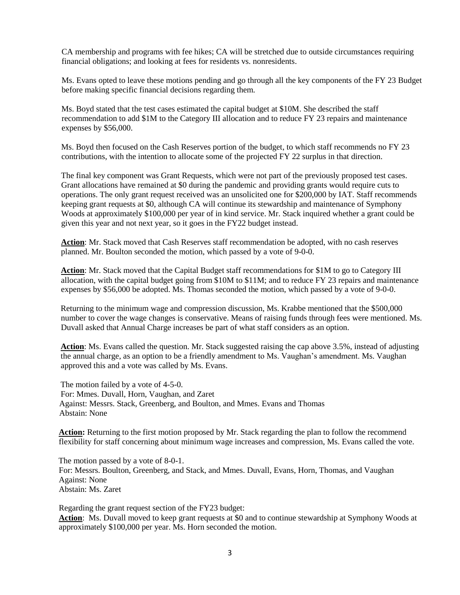CA membership and programs with fee hikes; CA will be stretched due to outside circumstances requiring financial obligations; and looking at fees for residents vs. nonresidents.

Ms. Evans opted to leave these motions pending and go through all the key components of the FY 23 Budget before making specific financial decisions regarding them.

Ms. Boyd stated that the test cases estimated the capital budget at \$10M. She described the staff recommendation to add \$1M to the Category III allocation and to reduce FY 23 repairs and maintenance expenses by \$56,000.

Ms. Boyd then focused on the Cash Reserves portion of the budget, to which staff recommends no FY 23 contributions, with the intention to allocate some of the projected FY 22 surplus in that direction.

The final key component was Grant Requests, which were not part of the previously proposed test cases. Grant allocations have remained at \$0 during the pandemic and providing grants would require cuts to operations. The only grant request received was an unsolicited one for \$200,000 by IAT. Staff recommends keeping grant requests at \$0, although CA will continue its stewardship and maintenance of Symphony Woods at approximately \$100,000 per year of in kind service. Mr. Stack inquired whether a grant could be given this year and not next year, so it goes in the FY22 budget instead.

**Action**: Mr. Stack moved that Cash Reserves staff recommendation be adopted, with no cash reserves planned. Mr. Boulton seconded the motion, which passed by a vote of 9-0-0.

**Action**: Mr. Stack moved that the Capital Budget staff recommendations for \$1M to go to Category III allocation, with the capital budget going from \$10M to \$11M; and to reduce FY 23 repairs and maintenance expenses by \$56,000 be adopted. Ms. Thomas seconded the motion, which passed by a vote of 9-0-0.

Returning to the minimum wage and compression discussion, Ms. Krabbe mentioned that the \$500,000 number to cover the wage changes is conservative. Means of raising funds through fees were mentioned. Ms. Duvall asked that Annual Charge increases be part of what staff considers as an option.

**Action**: Ms. Evans called the question. Mr. Stack suggested raising the cap above 3.5%, instead of adjusting the annual charge, as an option to be a friendly amendment to Ms. Vaughan's amendment. Ms. Vaughan approved this and a vote was called by Ms. Evans.

 The motion failed by a vote of 4-5-0. For: Mmes. Duvall, Horn, Vaughan, and Zaret Against: Messrs. Stack, Greenberg, and Boulton, and Mmes. Evans and Thomas Abstain: None

Action: Returning to the first motion proposed by Mr. Stack regarding the plan to follow the recommend flexibility for staff concerning about minimum wage increases and compression, Ms. Evans called the vote.

 The motion passed by a vote of 8-0-1. For: Messrs. Boulton, Greenberg, and Stack, and Mmes. Duvall, Evans, Horn, Thomas, and Vaughan Against: None Abstain: Ms. Zaret

 Regarding the grant request section of the FY23 budget:  **Action**: Ms. Duvall moved to keep grant requests at \$0 and to continue stewardship at Symphony Woods at approximately \$100,000 per year. Ms. Horn seconded the motion.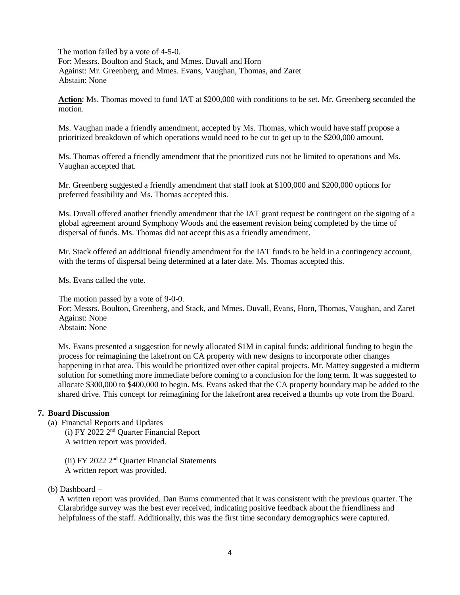The motion failed by a vote of 4-5-0. For: Messrs. Boulton and Stack, and Mmes. Duvall and Horn Against: Mr. Greenberg, and Mmes. Evans, Vaughan, Thomas, and Zaret Abstain: None

**Action**: Ms. Thomas moved to fund IAT at \$200,000 with conditions to be set. Mr. Greenberg seconded the motion.

Ms. Vaughan made a friendly amendment, accepted by Ms. Thomas, which would have staff propose a prioritized breakdown of which operations would need to be cut to get up to the \$200,000 amount.

Ms. Thomas offered a friendly amendment that the prioritized cuts not be limited to operations and Ms. Vaughan accepted that.

Mr. Greenberg suggested a friendly amendment that staff look at \$100,000 and \$200,000 options for preferred feasibility and Ms. Thomas accepted this.

Ms. Duvall offered another friendly amendment that the IAT grant request be contingent on the signing of a global agreement around Symphony Woods and the easement revision being completed by the time of dispersal of funds. Ms. Thomas did not accept this as a friendly amendment.

Mr. Stack offered an additional friendly amendment for the IAT funds to be held in a contingency account, with the terms of dispersal being determined at a later date. Ms. Thomas accepted this.

Ms. Evans called the vote.

 The motion passed by a vote of 9-0-0. For: Messrs. Boulton, Greenberg, and Stack, and Mmes. Duvall, Evans, Horn, Thomas, Vaughan, and Zaret Against: None Abstain: None

Ms. Evans presented a suggestion for newly allocated \$1M in capital funds: additional funding to begin the process for reimagining the lakefront on CA property with new designs to incorporate other changes happening in that area. This would be prioritized over other capital projects. Mr. Mattey suggested a midterm solution for something more immediate before coming to a conclusion for the long term. It was suggested to allocate \$300,000 to \$400,000 to begin. Ms. Evans asked that the CA property boundary map be added to the shared drive. This concept for reimagining for the lakefront area received a thumbs up vote from the Board.

# **7. Board Discussion**

- (a) Financial Reports and Updates
	- (i) FY 2022 2nd Quarter Financial Report A written report was provided.

(ii) FY 2022 2nd Quarter Financial Statements A written report was provided.

(b) Dashboard –

 A written report was provided. Dan Burns commented that it was consistent with the previous quarter. The Clarabridge survey was the best ever received, indicating positive feedback about the friendliness and helpfulness of the staff. Additionally, this was the first time secondary demographics were captured.